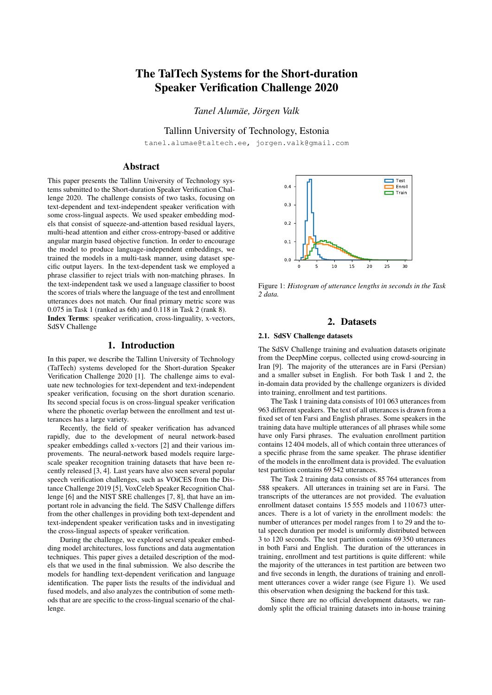# The TalTech Systems for the Short-duration Speaker Verification Challenge 2020

 $Tanel$  *Alumäe, Jörgen Valk* 

Tallinn University of Technology, Estonia

tanel.alumae@taltech.ee, jorgen.valk@gmail.com

# Abstract

This paper presents the Tallinn University of Technology systems submitted to the Short-duration Speaker Verification Challenge 2020. The challenge consists of two tasks, focusing on text-dependent and text-independent speaker verification with some cross-lingual aspects. We used speaker embedding models that consist of squeeze-and-attention based residual layers, multi-head attention and either cross-entropy-based or additive angular margin based objective function. In order to encourage the model to produce language-independent embeddings, we trained the models in a multi-task manner, using dataset specific output layers. In the text-dependent task we employed a phrase classifier to reject trials with non-matching phrases. In the text-independent task we used a language classifier to boost the scores of trials where the language of the test and enrollment utterances does not match. Our final primary metric score was 0.075 in Task 1 (ranked as 6th) and 0.118 in Task 2 (rank 8). Index Terms: speaker verification, cross-linguality, x-vectors, SdSV Challenge

## 1. Introduction

In this paper, we describe the Tallinn University of Technology (TalTech) systems developed for the Short-duration Speaker Verification Challenge 2020 [1]. The challenge aims to evaluate new technologies for text-dependent and text-independent speaker verification, focusing on the short duration scenario. Its second special focus is on cross-lingual speaker verification where the phonetic overlap between the enrollment and test utterances has a large variety.

Recently, the field of speaker verification has advanced rapidly, due to the development of neural network-based speaker embeddings called x-vectors [2] and their various improvements. The neural-network based models require largescale speaker recognition training datasets that have been recently released [3, 4]. Last years have also seen several popular speech verification challenges, such as VOiCES from the Distance Challenge 2019 [5], VoxCeleb Speaker Recognition Challenge [6] and the NIST SRE challenges [7, 8], that have an important role in advancing the field. The SdSV Challenge differs from the other challenges in providing both text-dependent and text-independent speaker verification tasks and in investigating the cross-lingual aspects of speaker verification.

During the challenge, we explored several speaker embedding model architectures, loss functions and data augmentation techniques. This paper gives a detailed description of the models that we used in the final submission. We also describe the models for handling text-dependent verification and language identification. The paper lists the results of the individual and fused models, and also analyzes the contribution of some methods that are are specific to the cross-lingual scenario of the challenge.



Figure 1: *Histogram of utterance lengths in seconds in the Task 2 data.*

# 2. Datasets

## 2.1. SdSV Challenge datasets

The SdSV Challenge training and evaluation datasets originate from the DeepMine corpus, collected using crowd-sourcing in Iran [9]. The majority of the utterances are in Farsi (Persian) and a smaller subset in English. For both Task 1 and 2, the in-domain data provided by the challenge organizers is divided into training, enrollment and test partitions.

The Task 1 training data consists of 101 063 utterances from 963 different speakers. The text of all utterances is drawn from a fixed set of ten Farsi and English phrases. Some speakers in the training data have multiple utterances of all phrases while some have only Farsi phrases. The evaluation enrollment partition contains 12 404 models, all of which contain three utterances of a specific phrase from the same speaker. The phrase identifier of the models in the enrollment data is provided. The evaluation test partition contains 69 542 utterances.

The Task 2 training data consists of 85 764 utterances from 588 speakers. All utterances in training set are in Farsi. The transcripts of the utterances are not provided. The evaluation enrollment dataset contains 15 555 models and 110 673 utterances. There is a lot of variety in the enrollment models: the number of utterances per model ranges from 1 to 29 and the total speech duration per model is uniformly distributed between 3 to 120 seconds. The test partition contains 69 350 utterances in both Farsi and English. The duration of the utterances in training, enrollment and test partitions is quite different: while the majority of the utterances in test partition are between two and five seconds in length, the durations of training and enrollment utterances cover a wider range (see Figure 1). We used this observation when designing the backend for this task.

Since there are no official development datasets, we randomly split the official training datasets into in-house training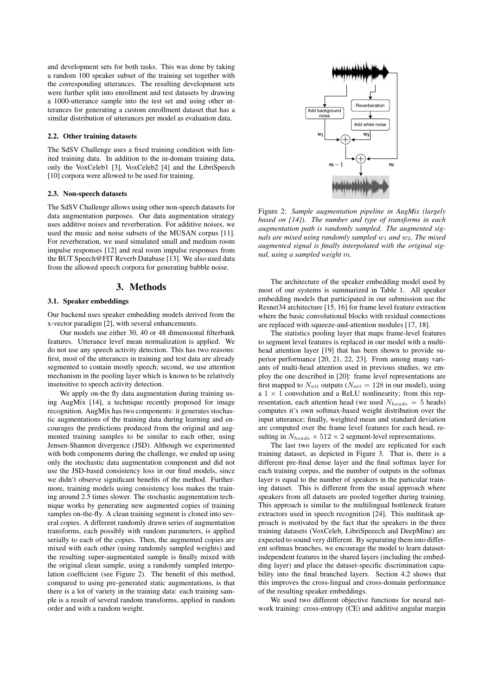and development sets for both tasks. This was done by taking a random 100 speaker subset of the training set together with the corresponding utterances. The resulting development sets were further split into enrollment and test datasets by drawing a 1000-utterance sample into the test set and using other utterances for generating a custom enrollment dataset that has a similar distribution of utterances per model as evaluation data.

#### 2.2. Other training datasets

The SdSV Challenge uses a fixed training condition with limited training data. In addition to the in-domain training data, only the VoxCeleb1 [3], VoxCeleb2 [4] and the LibriSpeech [10] corpora were allowed to be used for training.

#### 2.3. Non-speech datasets

The SdSV Challenge allows using other non-speech datasets for data augmentation purposes. Our data augmentation strategy uses additive noises and reverberation. For additive noises, we used the music and noise subsets of the MUSAN corpus [11]. For reverberation, we used simulated small and medium room impulse responses [12] and real room impulse responses from the BUT Speech@FIT Reverb Database [13]. We also used data from the allowed speech corpora for generating babble noise.

## 3. Methods

## 3.1. Speaker embeddings

Our backend uses speaker embedding models derived from the x-vector paradigm [2], with several enhancements.

Our models use either 30, 40 or 48 dimensional filterbank features. Utterance level mean normalization is applied. We do not use any speech activity detection. This has two reasons: first, most of the utterances in training and test data are already segmented to contain mostly speech; second, we use attention mechanism in the pooling layer which is known to be relatively insensitive to speech activity detection.

We apply on-the fly data augmentation during training using AugMix [14], a technique recently proposed for image recognition. AugMix has two components: it generates stochastic augmentations of the training data during learning and encourages the predictions produced from the original and augmented training samples to be similar to each other, using Jensen-Shannon divergence (JSD). Although we experimented with both components during the challenge, we ended up using only the stochastic data augmentation component and did not use the JSD-based consistency loss in our final models, since we didn't observe significant benefits of the method. Furthermore, training models using consistency loss makes the training around 2.5 times slower. The stochastic augmentation technique works by generating new augmented copies of training samples on-the-fly. A clean training segment is cloned into several copies. A different randomly drawn series of augmentation transforms, each possibly with random parameters, is applied serially to each of the copies. Then, the augmented copies are mixed with each other (using randomly sampled weights) and the resulting super-augmentated sample is finally mixed with the original clean sample, using a randomly sampled interpolation coefficient (see Figure 2). The benefit of this method, compared to using pre-generated static augmentations, is that there is a lot of variety in the training data: each training sample is a result of several random transforms, applied in random order and with a random weight.



Figure 2: *Sample augmentation pipeline in AugMix (largely based on [14]). The number and type of transforms in each augmentation path is randomly sampled. The augmented signals are mixed using randomly sampled*  $w_1$  *and*  $w_2$ *. The mixed augmented signal is finally interpolated with the original signal, using a sampled weight* m*.*

The architecture of the speaker embedding model used by most of our systems is summarized in Table 1. All speaker embedding models that participated in our submission use the Resnet34 architecture [15, 16] for frame level feature extraction where the basic convolutional blocks with residual connections are replaced with squeeze-and-attention modules [17, 18].

The statistics pooling layer that maps frame-level features to segment level features is replaced in our model with a multihead attention layer [19] that has been shown to provide superior performance [20, 21, 22, 23]. From among many variants of multi-head attention used in previous studies, we employ the one described in [20]: frame level representations are first mapped to  $N_{att}$  outputs ( $N_{att} = 128$  in our model), using a  $1 \times 1$  convolution and a ReLU nonlinearity; from this representation, each attention head (we used  $N_{heads} = 5$  heads) computes it's own softmax-based weight distribution over the input utterance; finally, weighted mean and standard deviation are computed over the frame level features for each head, resulting in  $N_{heads} \times 512 \times 2$  segment-level representations.

The last two layers of the model are replicated for each training dataset, as depicted in Figure 3. That is, there is a different pre-final dense layer and the final softmax layer for each training corpus, and the number of outputs in the softmax layer is equal to the number of speakers in the particular training dataset. This is different from the usual approach where speakers from all datasets are pooled together during training. This approach is similar to the multilingual bottleneck feature extractors used in speech recognition [24]. This multitask approach is motivated by the fact that the speakers in the three training datasets (VoxCeleb, LibriSpeeech and DeepMine) are expected to sound very different. By separating them into different softmax branches, we encourage the model to learn datasetindependent features in the shared layers (including the embedding layer) and place the dataset-specific discrimination capability into the final branched layers. Section 4.2 shows that this improves the cross-lingual and cross-domain performance of the resulting speaker embeddings.

We used two different objective functions for neural network training: cross-entropy (CE) and additive angular margin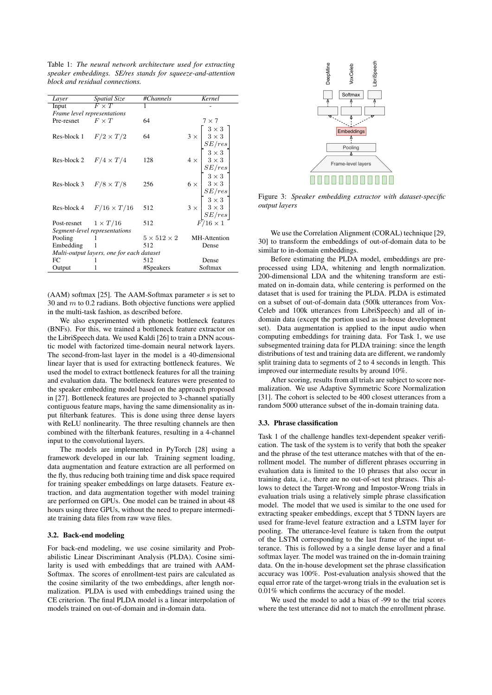Table 1: *The neural network architecture used for extracting speaker embeddings. SE/res stands for squeeze-and-attention block and residual connections.*

| Layer                                     | <i>Spatial Size</i>            | #Channels               | Kernel                                                                                                                                                                                                                                                                                               |  |  |  |
|-------------------------------------------|--------------------------------|-------------------------|------------------------------------------------------------------------------------------------------------------------------------------------------------------------------------------------------------------------------------------------------------------------------------------------------|--|--|--|
| Input                                     | $\overline{F \times T}$        | 1                       |                                                                                                                                                                                                                                                                                                      |  |  |  |
|                                           | Frame level representations    |                         |                                                                                                                                                                                                                                                                                                      |  |  |  |
| Pre-resnet                                | $F \times T$                   | 64                      | $7 \times 7$                                                                                                                                                                                                                                                                                         |  |  |  |
|                                           |                                |                         |                                                                                                                                                                                                                                                                                                      |  |  |  |
|                                           | Res-block 1 $F/2 \times T/2$   | 64                      |                                                                                                                                                                                                                                                                                                      |  |  |  |
|                                           |                                |                         |                                                                                                                                                                                                                                                                                                      |  |  |  |
|                                           |                                |                         |                                                                                                                                                                                                                                                                                                      |  |  |  |
|                                           | Res-block 2 $F/4 \times T/4$   | 128                     |                                                                                                                                                                                                                                                                                                      |  |  |  |
|                                           |                                |                         | $4 \times \left[\begin{array}{c} 2 \times 3 \\ 3 \times 3 \\ S E / res \\ 3 \times 3 \\ 3 \times 3 \\ S E / res \\ 6 \times \left[\begin{array}{c} 3 \times 3 \\ 3 \times 3 \\ S E / res \\ 3 \times 3 \\ S E / res \\ 3 \times 3 \\ S E / res \\ 3 \times 3 \\ S E / res \end{array}\right]\right]$ |  |  |  |
|                                           |                                |                         |                                                                                                                                                                                                                                                                                                      |  |  |  |
|                                           | Res-block 3 $F/8 \times T/8$   | 256                     |                                                                                                                                                                                                                                                                                                      |  |  |  |
|                                           |                                |                         |                                                                                                                                                                                                                                                                                                      |  |  |  |
|                                           |                                |                         |                                                                                                                                                                                                                                                                                                      |  |  |  |
|                                           | Res-block 4 $F/16 \times T/16$ | 512                     |                                                                                                                                                                                                                                                                                                      |  |  |  |
|                                           |                                |                         |                                                                                                                                                                                                                                                                                                      |  |  |  |
|                                           | Post-resnet $1 \times T/16$    | 512                     | $F/16\times1$                                                                                                                                                                                                                                                                                        |  |  |  |
| Segment-level representations             |                                |                         |                                                                                                                                                                                                                                                                                                      |  |  |  |
| Pooling                                   |                                | $5 \times 512 \times 2$ | MH-Attention                                                                                                                                                                                                                                                                                         |  |  |  |
| Embedding                                 |                                | 512                     | Dense                                                                                                                                                                                                                                                                                                |  |  |  |
| Multi-output layers, one for each dataset |                                |                         |                                                                                                                                                                                                                                                                                                      |  |  |  |
| FC                                        |                                | 512                     | Dense                                                                                                                                                                                                                                                                                                |  |  |  |
| Output                                    |                                | #Speakers               | Softmax                                                                                                                                                                                                                                                                                              |  |  |  |

(AAM) softmax [25]. The AAM-Softmax parameter  $s$  is set to 30 and  $m$  to 0.2 radians. Both objective functions were applied in the multi-task fashion, as described before.

We also experimented with phonetic bottleneck features (BNFs). For this, we trained a bottleneck feature extractor on the LibriSpeech data. We used Kaldi [26] to train a DNN acoustic model with factorized time-domain neural network layers. The second-from-last layer in the model is a 40-dimensional linear layer that is used for extracting bottleneck features. We used the model to extract bottleneck features for all the training and evaluation data. The bottleneck features were presented to the speaker embedding model based on the approach proposed in [27]. Bottleneck features are projected to 3-channel spatially contiguous feature maps, having the same dimensionality as input filterbank features. This is done using three dense layers with ReLU nonlinearity. The three resulting channels are then combined with the filterbank features, resulting in a 4-channel input to the convolutional layers.

The models are implemented in PyTorch [28] using a framework developed in our lab. Training segment loading, data augmentation and feature extraction are all performed on the fly, thus reducing both training time and disk space required for training speaker embeddings on large datasets. Feature extraction, and data augmentation together with model training are performed on GPUs. One model can be trained in about 48 hours using three GPUs, without the need to prepare intermediate training data files from raw wave files.

## 3.2. Back-end modeling

For back-end modeling, we use cosine similarity and Probabilistic Linear Discriminant Analysis (PLDA). Cosine similarity is used with embeddings that are trained with AAM-Softmax. The scores of enrollment-test pairs are calculated as the cosine similarity of the two embeddings, after length normalization. PLDA is used with embeddings trained using the CE criterion. The final PLDA model is a linear interpolation of models trained on out-of-domain and in-domain data.



Figure 3: *Speaker embedding extractor with dataset-specific output layers*

We use the Correlation Alignment (CORAL) technique [29, 30] to transform the embeddings of out-of-domain data to be similar to in-domain embeddings.

Before estimating the PLDA model, embeddings are preprocessed using LDA, whitening and length normalization. 200-dimensional LDA and the whitening transform are estimated on in-domain data, while centering is performed on the dataset that is used for training the PLDA. PLDA is estimated on a subset of out-of-domain data (500k utterances from Vox-Celeb and 100k utterances from LibriSpeech) and all of indomain data (except the portion used as in-house development set). Data augmentation is applied to the input audio when computing embeddings for training data. For Task 1, we use subsegmented training data for PLDA training: since the length distributions of test and training data are different, we randomly split training data to segments of 2 to 4 seconds in length. This improved our intermediate results by around 10%.

After scoring, results from all trials are subject to score normalization. We use Adaptive Symmetric Score Normalization [31]. The cohort is selected to be 400 closest utterances from a random 5000 utterance subset of the in-domain training data.

#### 3.3. Phrase classification

Task 1 of the challenge handles text-dependent speaker verification. The task of the system is to verify that both the speaker and the phrase of the test utterance matches with that of the enrollment model. The number of different phrases occurring in evaluation data is limited to the 10 phrases that also occur in training data, i.e., there are no out-of-set test phrases. This allows to detect the Target-Wrong and Impostor-Wrong trials in evaluation trials using a relatively simple phrase classification model. The model that we used is similar to the one used for extracting speaker embeddings, except that 5 TDNN layers are used for frame-level feature extraction and a LSTM layer for pooling. The utterance-level feature is taken from the output of the LSTM corresponding to the last frame of the input utterance. This is followed by a a single dense layer and a final softmax layer. The model was trained on the in-domain training data. On the in-house development set the phrase classification accuracy was 100%. Post-evaluation analysis showed that the equal error rate of the target-wrong trials in the evaluation set is 0.01% which confirms the accuracy of the model.

We used the model to add a bias of -99 to the trial scores where the test utterance did not to match the enrollment phrase.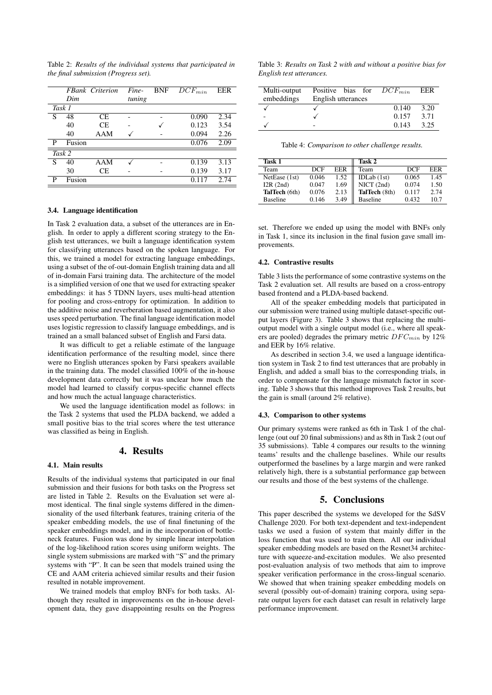Table 2: *Results of the individual systems that participated in the final submission (Progress set).*

|   |        | <b>FBank Criterion</b> | Fine-  | <b>BNF</b> | $\overline{DCF}_{min}$ | <b>EER</b> |
|---|--------|------------------------|--------|------------|------------------------|------------|
|   | Dim    |                        | tuning |            |                        |            |
|   | Task 1 |                        |        |            |                        |            |
| S | 48     | СE                     |        |            | 0.090                  | 2.34       |
|   | 40     | СE                     |        |            | 0.123                  | 3.54       |
|   | 40     | AAM                    |        |            | 0.094                  | 2.26       |
| P | Fusion |                        |        |            | 0.076                  | 2.09       |
|   | Task 2 |                        |        |            |                        |            |
| S | 40     | AAM                    |        |            | 0.139                  | 3.13       |
|   | 30     | СE                     |        |            | 0.139                  | 3.17       |
| P | Fusion |                        |        |            | 0.117                  | 2.74       |

#### 3.4. Language identification

In Task 2 evaluation data, a subset of the utterances are in English. In order to apply a different scoring strategy to the English test utterances, we built a language identification system for classifying utterances based on the spoken language. For this, we trained a model for extracting language embeddings, using a subset of the of-out-domain English training data and all of in-domain Farsi training data. The architecture of the model is a simplified version of one that we used for extracting speaker embeddings: it has 5 TDNN layers, uses multi-head attention for pooling and cross-entropy for optimization. In addition to the additive noise and reverberation based augmentation, it also uses speed perturbation. The final language identification model uses logistic regression to classify language embeddings, and is trained an a small balanced subset of English and Farsi data.

It was difficult to get a reliable estimate of the language identification performance of the resulting model, since there were no English utterances spoken by Farsi speakers available in the training data. The model classified 100% of the in-house development data correctly but it was unclear how much the model had learned to classify corpus-specific channel effects and how much the actual language characteristics.

We used the language identification model as follows: in the Task 2 systems that used the PLDA backend, we added a small positive bias to the trial scores where the test utterance was classified as being in English.

## 4. Results

## 4.1. Main results

Results of the individual systems that participated in our final submission and their fusions for both tasks on the Progress set are listed in Table 2. Results on the Evaluation set were almost identical. The final single systems differed in the dimensionality of the used filterbank features, training criteria of the speaker embedding models, the use of final finetuning of the speaker embeddings model, and in the incorporation of bottleneck features. Fusion was done by simple linear interpolation of the log-likelihood ration scores using uniform weights. The single system submissions are marked with "S" and the primary systems with "P". It can be seen that models trained using the CE and AAM criteria achieved similar results and their fusion resulted in notable improvement.

We trained models that employ BNFs for both tasks. Although they resulted in improvements on the in-house development data, they gave disappointing results on the Progress

Table 3: *Results on Task 2 with and without a positive bias for English test utterances.*

| Multi-output | Positive bias for $DCF_{min}$ |       | EER  |
|--------------|-------------------------------|-------|------|
| embeddings   | English utterances            |       |      |
|              |                               | 0.140 | 3.20 |
|              |                               | 0.157 | 3.71 |
|              |                               | 0.143 | 3.25 |

Table 4: *Comparison to other challenge results.*

| Task 1          |            |      | Task 2          |       |      |
|-----------------|------------|------|-----------------|-------|------|
| Team            | <b>DCE</b> | EER  | Team            | DCF   | EER  |
| NetEase (1st)   | 0.046      | 1.52 | IDLab $(1st)$   | 0.065 | 1.45 |
| I2R(2nd)        | 0.047      | 1.69 | NICT(2nd)       | 0.074 | 1.50 |
| TalTech (6th)   | 0.076      | 2.13 | TalTech (8th)   | 0.117 | 2.74 |
| <b>Baseline</b> | 0.146      | 3.49 | <b>Baseline</b> | 0.432 | 10.7 |

set. Therefore we ended up using the model with BNFs only in Task 1, since its inclusion in the final fusion gave small improvements.

## 4.2. Contrastive results

Table 3 lists the performance of some contrastive systems on the Task 2 evaluation set. All results are based on a cross-entropy based frontend and a PLDA-based backend.

All of the speaker embedding models that participated in our submission were trained using multiple dataset-specific output layers (Figure 3). Table 3 shows that replacing the multioutput model with a single output model (i.e., where all speakers are pooled) degrades the primary metric  $DFC_{min}$  by 12% and EER by 16% relative.

As described in section 3.4, we used a language identification system in Task 2 to find test utterances that are probably in English, and added a small bias to the corresponding trials, in order to compensate for the language mismatch factor in scoring. Table 3 shows that this method improves Task 2 results, but the gain is small (around 2% relative).

## 4.3. Comparison to other systems

Our primary systems were ranked as 6th in Task 1 of the challenge (out ouf 20 final submissions) and as 8th in Task 2 (out ouf 35 submissions). Table 4 compares our results to the winning teams' results and the challenge baselines. While our results outperformed the baselines by a large margin and were ranked relatively high, there is a substantial performance gap between our results and those of the best systems of the challenge.

## 5. Conclusions

This paper described the systems we developed for the SdSV Challenge 2020. For both text-dependent and text-independent tasks we used a fusion of system that mainly differ in the loss function that was used to train them. All our individual speaker embedding models are based on the Resnet34 architecture with squeeze-and-excitation modules. We also presented post-evaluation analysis of two methods that aim to improve speaker verification performance in the cross-lingual scenario. We showed that when training speaker embedding models on several (possibly out-of-domain) training corpora, using separate output layers for each dataset can result in relatively large performance improvement.